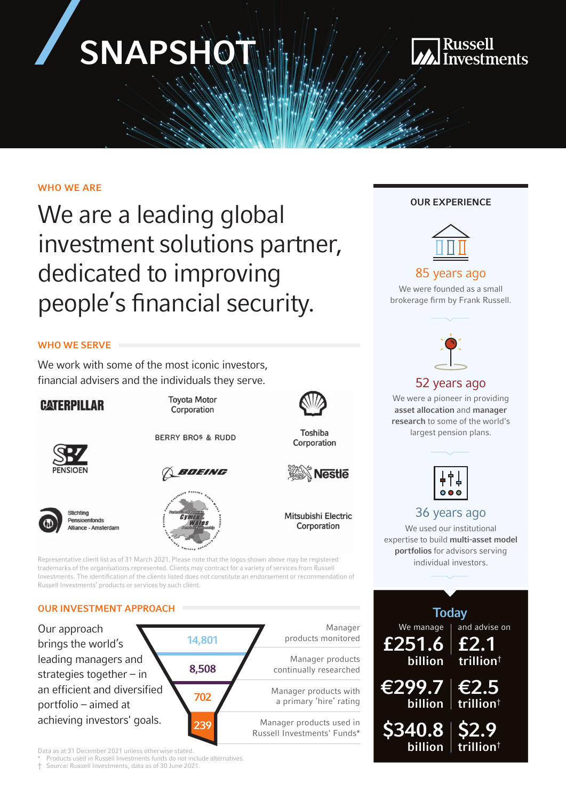# SNAPSHO



#### WHO WE ARE

We are a leading global investment solutions partner, dedicated to improving people's financial security.

#### WHO WE SERVE

We work with some of the most iconic investors, financial advisers and the individuals they serve.

#### **CATERPILLAR**





**Toyota Motor** 

Corporation







**Nestle** 

Toshiba

Corporation

Mitsubishi Electric Corporation

Representative client list as of 31 March 2021. Please note that the logos shown above may be registered trademarks of the organisations represented. Clients may contract for a variety of services from Russell Investments. The identification of the clients listed does not constitute an endorsement or recommendation of Russell Investments' products or services by such client.

#### OUR INVESTMENT APPROACH



#### Data as at 31 December 2021 unless otherwise stated.

Products used in Russell Investments funds do not include alternatives.

† Source: Russell Investments, data as of 30 June 2021.

#### OUR EXPERIENCE



#### 85 years ago

We were founded as a small brokerage firm by Frank Russell.



#### 52 years ago

We were a pioneer in providing asset allocation and manager research to some of the world's largest pension plans.

|--|

#### 36 years ago

We used our institutional expertise to build multi-asset model portfolios for advisors serving individual investors.